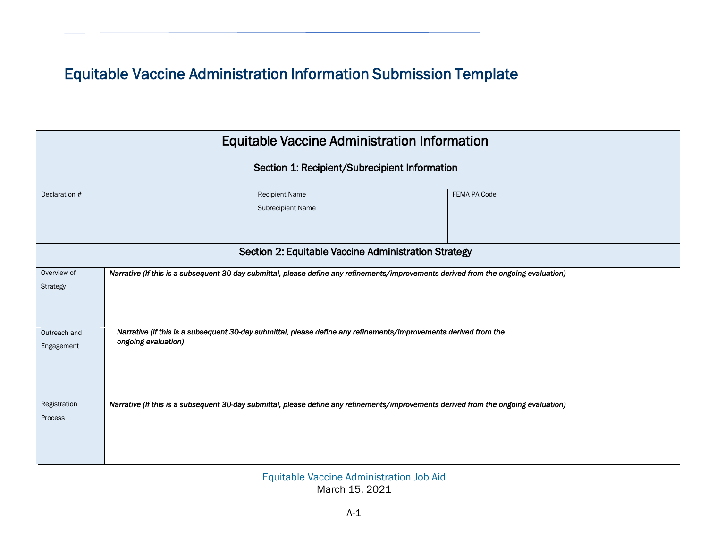## Equitable Vaccine Administration Information Submission Template

| <b>Equitable Vaccine Administration Information</b><br>Section 1: Recipient/Subrecipient Information |                                                                                                                                         |  |  |  |  |  |  |  |  |  |               |
|------------------------------------------------------------------------------------------------------|-----------------------------------------------------------------------------------------------------------------------------------------|--|--|--|--|--|--|--|--|--|---------------|
|                                                                                                      |                                                                                                                                         |  |  |  |  |  |  |  |  |  | Declaration # |
| Section 2: Equitable Vaccine Administration Strategy                                                 |                                                                                                                                         |  |  |  |  |  |  |  |  |  |               |
| Overview of                                                                                          | Narrative (If this is a subsequent 30-day submittal, please define any refinements/improvements derived from the ongoing evaluation)    |  |  |  |  |  |  |  |  |  |               |
| Strategy                                                                                             |                                                                                                                                         |  |  |  |  |  |  |  |  |  |               |
| Outreach and<br>Engagement                                                                           | Narrative (If this is a subsequent 30-day submittal, please define any refinements/improvements derived from the<br>ongoing evaluation) |  |  |  |  |  |  |  |  |  |               |
| Registration<br>Process                                                                              | Narrative (If this is a subsequent 30-day submittal, please define any refinements/improvements derived from the ongoing evaluation)    |  |  |  |  |  |  |  |  |  |               |